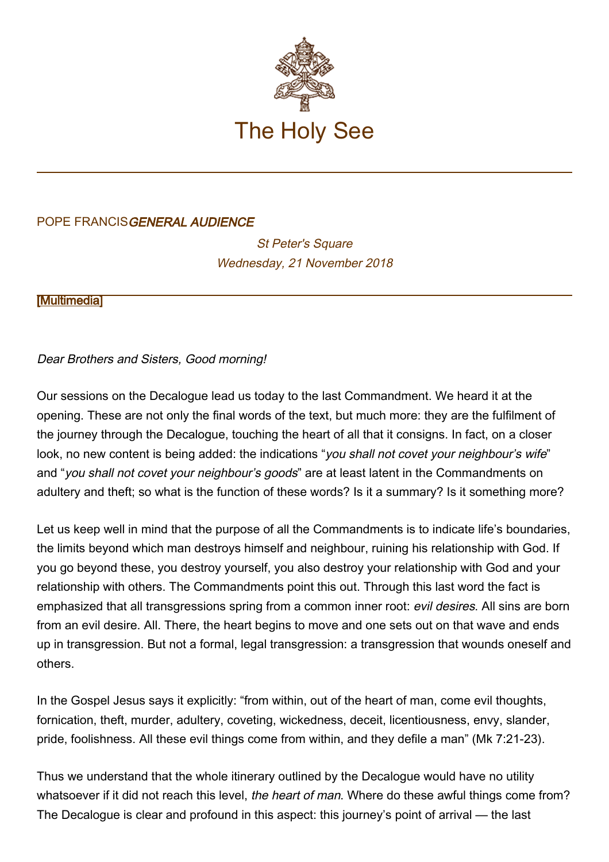

## POPE FRANCISGENERAL AUDIENCE

**St Peter's Square** Wednesday, 21 November 2018

**[\[Multimedia](http://w2.vatican.va/content/francesco/en/events/event.dir.html/content/vaticanevents/en/2018/11/21/udienzagenerale.html)]** 

## Dear Brothers and Sisters, Good morning!

Our sessions on the Decalogue lead us today to the last Commandment. We heard it at the opening. These are not only the final words of the text, but much more: they are the fulfilment of the journey through the Decalogue, touching the heart of all that it consigns. In fact, on a closer look, no new content is being added: the indications "you shall not covet your neighbour's wife" and "you shall not covet your neighbour's goods" are at least latent in the Commandments on adultery and theft; so what is the function of these words? Is it a summary? Is it something more?

Let us keep well in mind that the purpose of all the Commandments is to indicate life's boundaries, the limits beyond which man destroys himself and neighbour, ruining his relationship with God. If you go beyond these, you destroy yourself, you also destroy your relationship with God and your relationship with others. The Commandments point this out. Through this last word the fact is emphasized that all transgressions spring from a common inner root: evil desires. All sins are born from an evil desire. All. There, the heart begins to move and one sets out on that wave and ends up in transgression. But not a formal, legal transgression: a transgression that wounds oneself and others.

In the Gospel Jesus says it explicitly: "from within, out of the heart of man, come evil thoughts, fornication, theft, murder, adultery, coveting, wickedness, deceit, licentiousness, envy, slander, pride, foolishness. All these evil things come from within, and they defile a man" (Mk 7:21-23).

Thus we understand that the whole itinerary outlined by the Decalogue would have no utility whatsoever if it did not reach this level, the heart of man. Where do these awful things come from? The Decalogue is clear and profound in this aspect: this journey's point of arrival — the last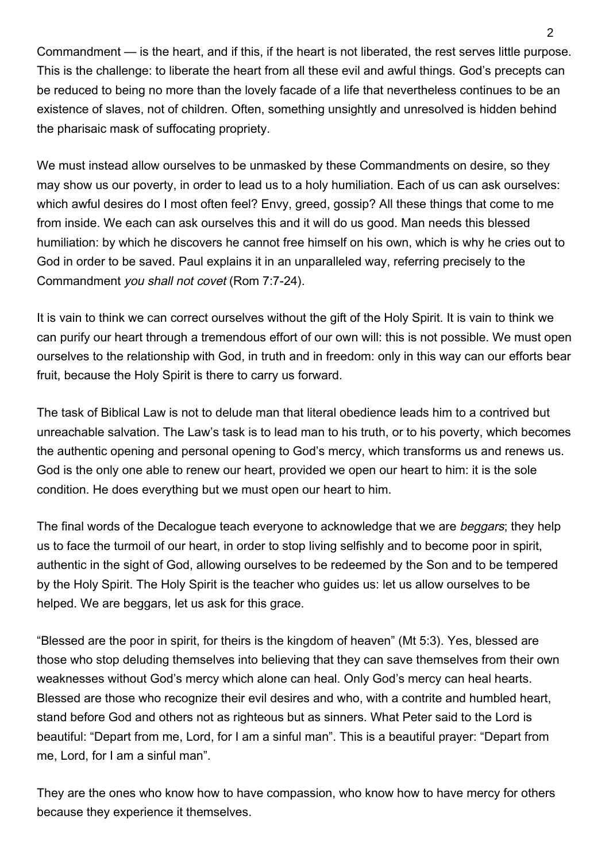Commandment — is the heart, and if this, if the heart is not liberated, the rest serves little purpose. This is the challenge: to liberate the heart from all these evil and awful things. God's precepts can be reduced to being no more than the lovely facade of a life that nevertheless continues to be an existence of slaves, not of children. Often, something unsightly and unresolved is hidden behind the pharisaic mask of suffocating propriety.

We must instead allow ourselves to be unmasked by these Commandments on desire, so they may show us our poverty, in order to lead us to a holy humiliation. Each of us can ask ourselves: which awful desires do I most often feel? Envy, greed, gossip? All these things that come to me from inside. We each can ask ourselves this and it will do us good. Man needs this blessed humiliation: by which he discovers he cannot free himself on his own, which is why he cries out to God in order to be saved. Paul explains it in an unparalleled way, referring precisely to the Commandment you shall not covet (Rom 7:7-24).

It is vain to think we can correct ourselves without the gift of the Holy Spirit. It is vain to think we can purify our heart through a tremendous effort of our own will: this is not possible. We must open ourselves to the relationship with God, in truth and in freedom: only in this way can our efforts bear fruit, because the Holy Spirit is there to carry us forward.

The task of Biblical Law is not to delude man that literal obedience leads him to a contrived but unreachable salvation. The Law's task is to lead man to his truth, or to his poverty, which becomes the authentic opening and personal opening to God's mercy, which transforms us and renews us. God is the only one able to renew our heart, provided we open our heart to him: it is the sole condition. He does everything but we must open our heart to him.

The final words of the Decalogue teach everyone to acknowledge that we are beggars; they help us to face the turmoil of our heart, in order to stop living selfishly and to become poor in spirit, authentic in the sight of God, allowing ourselves to be redeemed by the Son and to be tempered by the Holy Spirit. The Holy Spirit is the teacher who guides us: let us allow ourselves to be helped. We are beggars, let us ask for this grace.

"Blessed are the poor in spirit, for theirs is the kingdom of heaven" (Mt 5:3). Yes, blessed are those who stop deluding themselves into believing that they can save themselves from their own weaknesses without God's mercy which alone can heal. Only God's mercy can heal hearts. Blessed are those who recognize their evil desires and who, with a contrite and humbled heart, stand before God and others not as righteous but as sinners. What Peter said to the Lord is beautiful: "Depart from me, Lord, for I am a sinful man". This is a beautiful prayer: "Depart from me, Lord, for I am a sinful man".

They are the ones who know how to have compassion, who know how to have mercy for others because they experience it themselves.